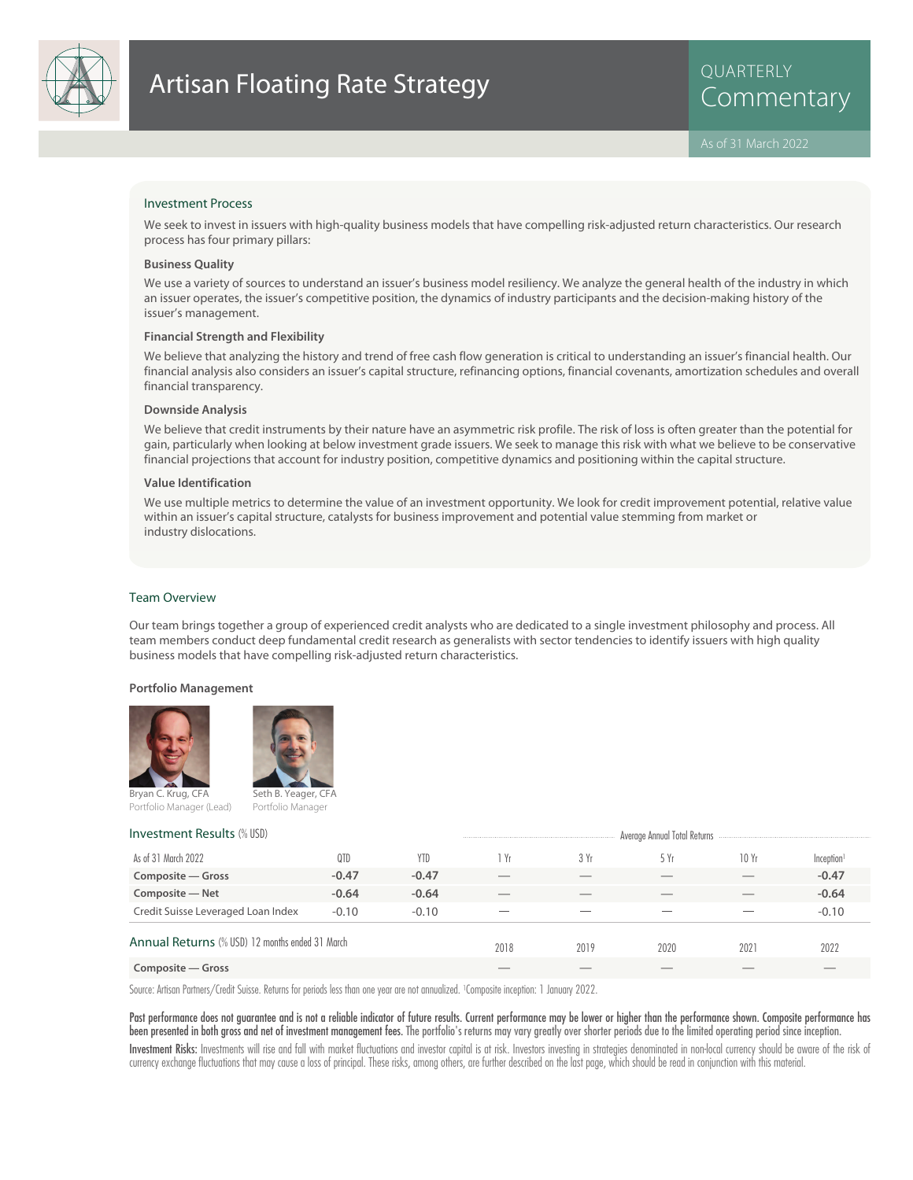

## Investment Process

We seek to invest in issuers with high-quality business models that have compelling risk-adjusted return characteristics. Our research process has four primary pillars:

## **Business Quality**

We use a variety of sources to understand an issuer's business model resiliency. We analyze the general health of the industry in which an issuer operates, the issuer's competitive position, the dynamics of industry participants and the decision-making history of the issuer's management.

### **Financial Strength and Flexibility**

We believe that analyzing the history and trend of free cash flow generation is critical to understanding an issuer's financial health. Our financial analysis also considers an issuer's capital structure, refinancing options, financial covenants, amortization schedules and overall financial transparency.

### **Downside Analysis**

We believe that credit instruments by their nature have an asymmetric risk profile. The risk of loss is often greater than the potential for gain, particularly when looking at below investment grade issuers. We seek to manage this risk with what we believe to be conservative financial projections that account for industry position, competitive dynamics and positioning within the capital structure.

## **Value Identification**

We use multiple metrics to determine the value of an investment opportunity. We look for credit improvement potential, relative value within an issuer's capital structure, catalysts for business improvement and potential value stemming from market or industry dislocations.

## Team Overview

Our team brings together a group of experienced credit analysts who are dedicated to a single investment philosophy and process. All team members conduct deep fundamental credit research as generalists with sector tendencies to identify issuers with high quality business models that have compelling risk-adjusted return characteristics.

### **Portfolio Management**





Portfolio Manager (Lead)

Portfolio Manager

| <b>Investment Results (% USD)</b>               | Average Annual Total Returns |            |                          |      |      |      |                        |
|-------------------------------------------------|------------------------------|------------|--------------------------|------|------|------|------------------------|
| As of 31 March 2022                             | 0TD                          | <b>YTD</b> | 1 Yr                     | 3 Yr | 5 Yr | 10Yr | Inception <sup>1</sup> |
| Composite – Gross                               | $-0.47$                      | $-0.47$    |                          |      |      |      | $-0.47$                |
| Composite - Net                                 | $-0.64$                      | $-0.64$    |                          |      |      |      | $-0.64$                |
| Credit Suisse Leveraged Loan Index              | $-0.10$                      | $-0.10$    | $\overline{\phantom{a}}$ | __   | __   |      | $-0.10$                |
| Annual Returns (% USD) 12 months ended 31 March |                              |            | 2018                     | 2019 | 2020 | 2021 | 2022                   |
| Composite – Gross                               |                              |            |                          |      |      |      |                        |

Source: Artisan Partners/Credit Suisse. Returns for periods less than one year are not annualized. <sup>1</sup> Composite inception: 1 January 2022.

Past performance does not guarantee and is not a reliable indicator of future results. Current performance may be lower or higher than the performance shown. Composite performance has been presented in both gross and net of investment management fees. The portfolio's returns may vary greatly over shorter periods due to the limited operating period since inception.

Investment Risks: Investments will rise and fall with market fluctuations and investor capital is at risk. Investors investing in strategies denominated in non-local currency should be aware of the risk of currency exchange fluctuations that may cause a loss of principal. These risks, among others, are further described on the last page, which should be read in conjunction with this material.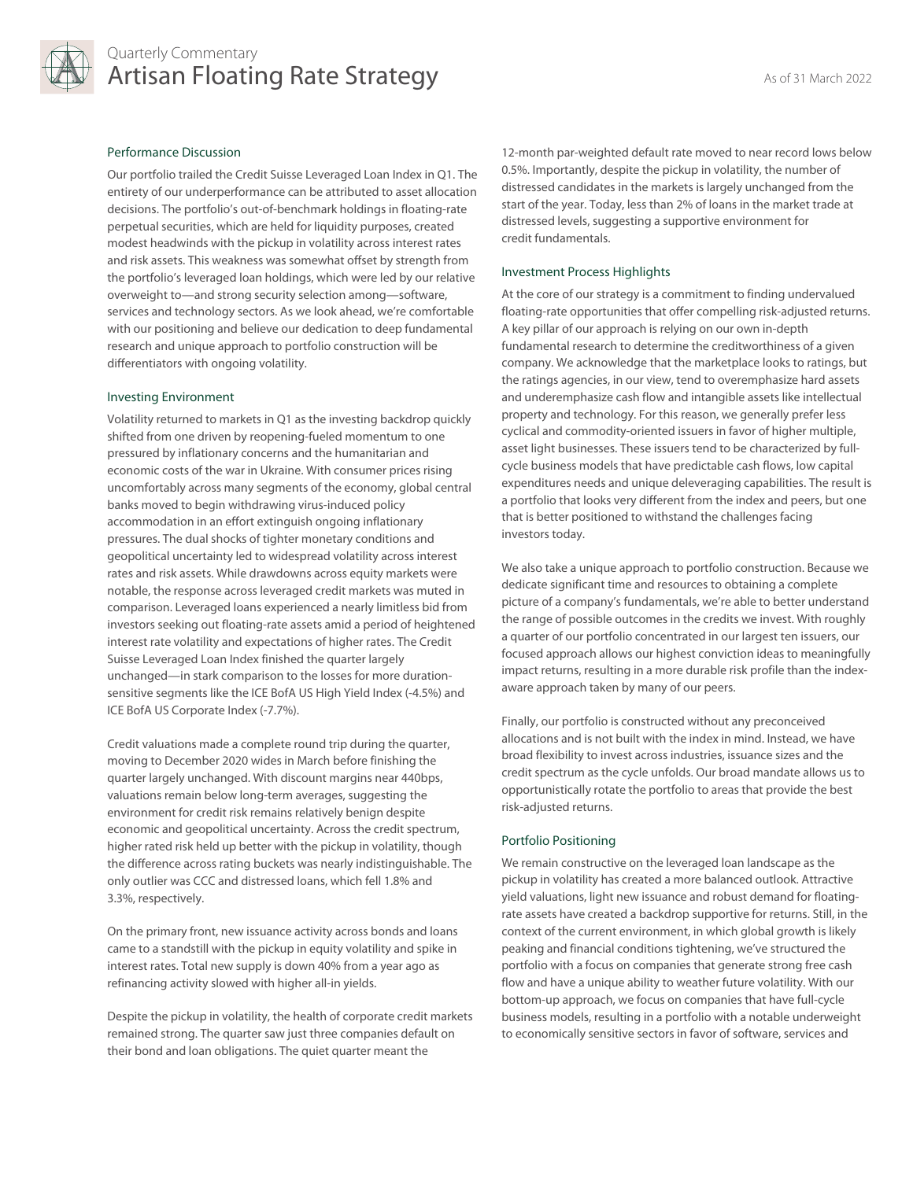

# Quarterly Commentary Artisan Floating Rate Strategy As of 31 March 2022

# Performance Discussion

Our portfolio trailed the Credit Suisse Leveraged Loan Index in Q1. The entirety of our underperformance can be attributed to asset allocation decisions. The portfolio's out-of-benchmark holdings in floating-rate perpetual securities, which are held for liquidity purposes, created modest headwinds with the pickup in volatility across interest rates and risk assets. This weakness was somewhat offset by strength from the portfolio's leveraged loan holdings, which were led by our relative overweight to—and strong security selection among—software, services and technology sectors. As we look ahead, we're comfortable with our positioning and believe our dedication to deep fundamental research and unique approach to portfolio construction will be differentiators with ongoing volatility.

## Investing Environment

Volatility returned to markets in Q1 as the investing backdrop quickly shifted from one driven by reopening-fueled momentum to one pressured by inflationary concerns and the humanitarian and economic costs of the war in Ukraine. With consumer prices rising uncomfortably across many segments of the economy, global central banks moved to begin withdrawing virus-induced policy accommodation in an effort extinguish ongoing inflationary pressures. The dual shocks of tighter monetary conditions and geopolitical uncertainty led to widespread volatility across interest rates and risk assets. While drawdowns across equity markets were notable, the response across leveraged credit markets was muted in comparison. Leveraged loans experienced a nearly limitless bid from investors seeking out floating-rate assets amid a period of heightened interest rate volatility and expectations of higher rates. The Credit Suisse Leveraged Loan Index finished the quarter largely unchanged—in stark comparison to the losses for more durationsensitive segments like the ICE BofA US High Yield Index (-4.5%) and ICE BofA US Corporate Index (-7.7%).

Credit valuations made a complete round trip during the quarter, moving to December 2020 wides in March before finishing the quarter largely unchanged. With discount margins near 440bps, valuations remain below long-term averages, suggesting the environment for credit risk remains relatively benign despite economic and geopolitical uncertainty. Across the credit spectrum, higher rated risk held up better with the pickup in volatility, though the difference across rating buckets was nearly indistinguishable. The only outlier was CCC and distressed loans, which fell 1.8% and 3.3%, respectively.

On the primary front, new issuance activity across bonds and loans came to a standstill with the pickup in equity volatility and spike in interest rates. Total new supply is down 40% from a year ago as refinancing activity slowed with higher all-in yields.

Despite the pickup in volatility, the health of corporate credit markets remained strong. The quarter saw just three companies default on their bond and loan obligations. The quiet quarter meant the

12-month par-weighted default rate moved to near record lows below 0.5%. Importantly, despite the pickup in volatility, the number of distressed candidates in the markets is largely unchanged from the start of the year. Today, less than 2% of loans in the market trade at distressed levels, suggesting a supportive environment for credit fundamentals.

# Investment Process Highlights

At the core of our strategy is a commitment to finding undervalued floating-rate opportunities that offer compelling risk-adjusted returns. A key pillar of our approach is relying on our own in-depth fundamental research to determine the creditworthiness of a given company. We acknowledge that the marketplace looks to ratings, but the ratings agencies, in our view, tend to overemphasize hard assets and underemphasize cash flow and intangible assets like intellectual property and technology. For this reason, we generally prefer less cyclical and commodity-oriented issuers in favor of higher multiple, asset light businesses. These issuers tend to be characterized by fullcycle business models that have predictable cash flows, low capital expenditures needs and unique deleveraging capabilities. The result is a portfolio that looks very different from the index and peers, but one that is better positioned to withstand the challenges facing investors today.

We also take a unique approach to portfolio construction. Because we dedicate significant time and resources to obtaining a complete picture of a company's fundamentals, we're able to better understand the range of possible outcomes in the credits we invest. With roughly a quarter of our portfolio concentrated in our largest ten issuers, our focused approach allows our highest conviction ideas to meaningfully impact returns, resulting in a more durable risk profile than the indexaware approach taken by many of our peers.

Finally, our portfolio is constructed without any preconceived allocations and is not built with the index in mind. Instead, we have broad flexibility to invest across industries, issuance sizes and the credit spectrum as the cycle unfolds. Our broad mandate allows us to opportunistically rotate the portfolio to areas that provide the best risk-adjusted returns.

## Portfolio Positioning

We remain constructive on the leveraged loan landscape as the pickup in volatility has created a more balanced outlook. Attractive yield valuations, light new issuance and robust demand for floatingrate assets have created a backdrop supportive for returns. Still, in the context of the current environment, in which global growth is likely peaking and financial conditions tightening, we've structured the portfolio with a focus on companies that generate strong free cash flow and have a unique ability to weather future volatility. With our bottom-up approach, we focus on companies that have full-cycle business models, resulting in a portfolio with a notable underweight to economically sensitive sectors in favor of software, services and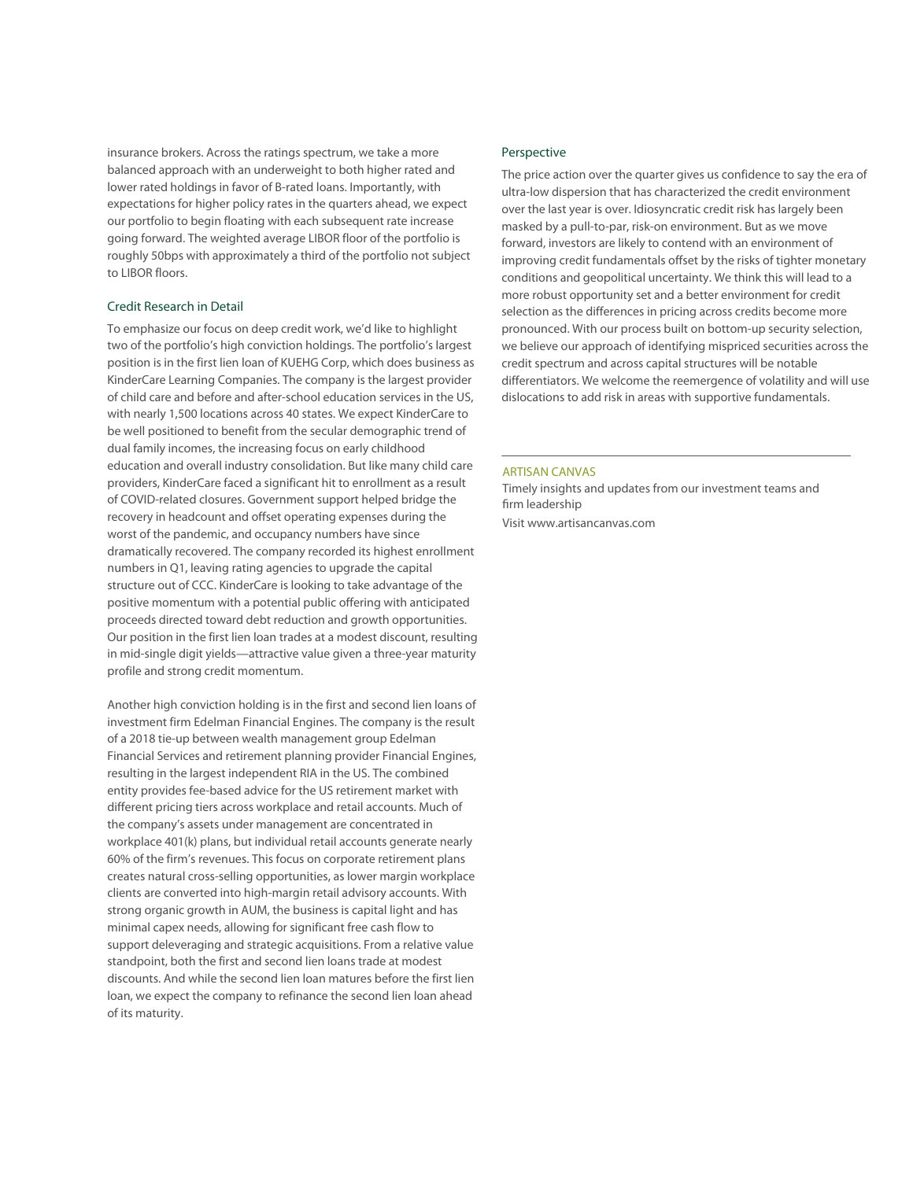insurance brokers. Across the ratings spectrum, we take a more balanced approach with an underweight to both higher rated and lower rated holdings in favor of B-rated loans. Importantly, with expectations for higher policy rates in the quarters ahead, we expect our portfolio to begin floating with each subsequent rate increase going forward. The weighted average LIBOR floor of the portfolio is roughly 50bps with approximately a third of the portfolio not subject to LIBOR floors.

## Credit Research in Detail

To emphasize our focus on deep credit work, we'd like to highlight two of the portfolio's high conviction holdings. The portfolio's largest position is in the first lien loan of KUEHG Corp, which does business as KinderCare Learning Companies. The company is the largest provider of child care and before and after-school education services in the US, with nearly 1,500 locations across 40 states. We expect KinderCare to be well positioned to benefit from the secular demographic trend of dual family incomes, the increasing focus on early childhood education and overall industry consolidation. But like many child care providers, KinderCare faced a significant hit to enrollment as a result of COVID-related closures. Government support helped bridge the recovery in headcount and offset operating expenses during the worst of the pandemic, and occupancy numbers have since dramatically recovered. The company recorded its highest enrollment numbers in Q1, leaving rating agencies to upgrade the capital structure out of CCC. KinderCare is looking to take advantage of the positive momentum with a potential public offering with anticipated proceeds directed toward debt reduction and growth opportunities. Our position in the first lien loan trades at a modest discount, resulting in mid-single digit yields—attractive value given a three-year maturity profile and strong credit momentum.

Another high conviction holding is in the first and second lien loans of investment firm Edelman Financial Engines. The company is the result of a 2018 tie-up between wealth management group Edelman Financial Services and retirement planning provider Financial Engines, resulting in the largest independent RIA in the US. The combined entity provides fee-based advice for the US retirement market with different pricing tiers across workplace and retail accounts. Much of the company's assets under management are concentrated in workplace 401(k) plans, but individual retail accounts generate nearly 60% of the firm's revenues. This focus on corporate retirement plans creates natural cross-selling opportunities, as lower margin workplace clients are converted into high-margin retail advisory accounts. With strong organic growth in AUM, the business is capital light and has minimal capex needs, allowing for significant free cash flow to support deleveraging and strategic acquisitions. From a relative value standpoint, both the first and second lien loans trade at modest discounts. And while the second lien loan matures before the first lien loan, we expect the company to refinance the second lien loan ahead of its maturity.

## Perspective

The price action over the quarter gives us confidence to say the era of ultra-low dispersion that has characterized the credit environment over the last year is over. Idiosyncratic credit risk has largely been masked by a pull-to-par, risk-on environment. But as we move forward, investors are likely to contend with an environment of improving credit fundamentals offset by the risks of tighter monetary conditions and geopolitical uncertainty. We think this will lead to a more robust opportunity set and a better environment for credit selection as the differences in pricing across credits become more pronounced. With our process built on bottom-up security selection, we believe our approach of identifying mispriced securities across the credit spectrum and across capital structures will be notable differentiators. We welcome the reemergence of volatility and will use dislocations to add risk in areas with supportive fundamentals.

#### ARTISAN CANVAS

Timely insights and updates from our investment teams and firm leadership

Visit www.artisancanvas.com